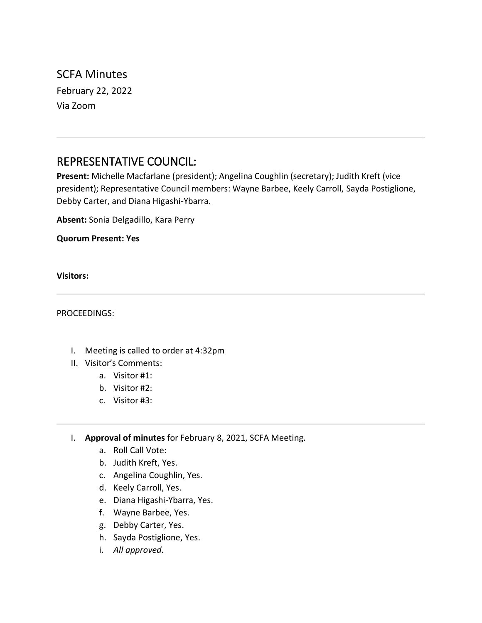SCFA Minutes February 22, 2022 Via Zoom

# REPRESENTATIVE COUNCIL:

**Present:** Michelle Macfarlane (president); Angelina Coughlin (secretary); Judith Kreft (vice president); Representative Council members: Wayne Barbee, Keely Carroll, Sayda Postiglione, Debby Carter, and Diana Higashi-Ybarra.

**Absent:** Sonia Delgadillo, Kara Perry

**Quorum Present: Yes**

**Visitors:**

PROCEEDINGS:

- I. Meeting is called to order at 4:32pm
- II. Visitor's Comments:
	- a. Visitor #1:
	- b. Visitor #2:
	- c. Visitor #3:
- I. **Approval of minutes** for February 8, 2021, SCFA Meeting.
	- a. Roll Call Vote:
	- b. Judith Kreft, Yes.
	- c. Angelina Coughlin, Yes.
	- d. Keely Carroll, Yes.
	- e. Diana Higashi-Ybarra, Yes.
	- f. Wayne Barbee, Yes.
	- g. Debby Carter, Yes.
	- h. Sayda Postiglione, Yes.
	- i. *All approved.*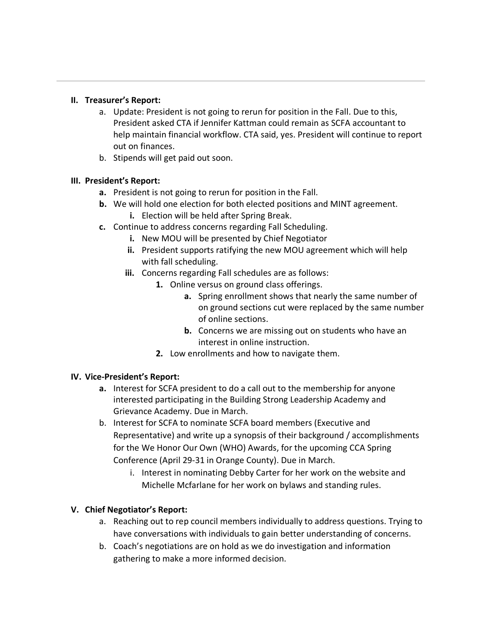## **II. Treasurer's Report:**

- a. Update: President is not going to rerun for position in the Fall. Due to this, President asked CTA if Jennifer Kattman could remain as SCFA accountant to help maintain financial workflow. CTA said, yes. President will continue to report out on finances.
- b. Stipends will get paid out soon.

#### **III. President's Report:**

- **a.** President is not going to rerun for position in the Fall.
- **b.** We will hold one election for both elected positions and MINT agreement.
	- **i.** Election will be held after Spring Break.
- **c.** Continue to address concerns regarding Fall Scheduling.
	- **i.** New MOU will be presented by Chief Negotiator
	- **ii.** President supports ratifying the new MOU agreement which will help with fall scheduling.
	- **iii.** Concerns regarding Fall schedules are as follows:
		- **1.** Online versus on ground class offerings.
			- **a.** Spring enrollment shows that nearly the same number of on ground sections cut were replaced by the same number of online sections.
			- **b.** Concerns we are missing out on students who have an interest in online instruction.
		- **2.** Low enrollments and how to navigate them.

# **IV. Vice-President's Report:**

- **a.** Interest for SCFA president to do a call out to the membership for anyone interested participating in the Building Strong Leadership Academy and Grievance Academy. Due in March.
- b. Interest for SCFA to nominate SCFA board members (Executive and Representative) and write up a synopsis of their background / accomplishments for the We Honor Our Own (WHO) Awards, for the upcoming CCA Spring Conference (April 29-31 in Orange County). Due in March.
	- i. Interest in nominating Debby Carter for her work on the website and Michelle Mcfarlane for her work on bylaws and standing rules.

# **V. Chief Negotiator's Report:**

- a. Reaching out to rep council members individually to address questions. Trying to have conversations with individuals to gain better understanding of concerns.
- b. Coach's negotiations are on hold as we do investigation and information gathering to make a more informed decision.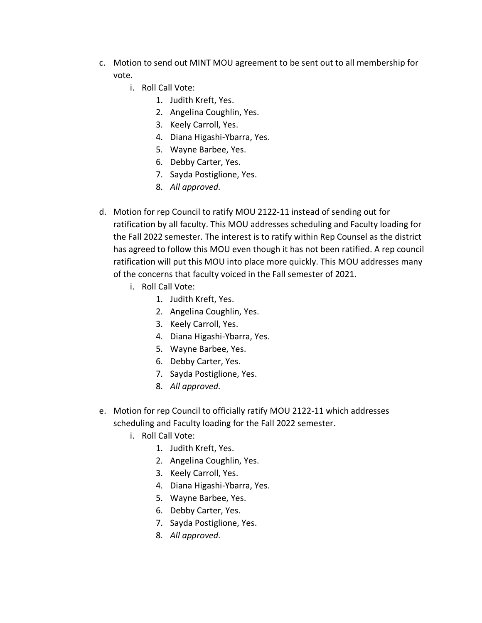- c. Motion to send out MINT MOU agreement to be sent out to all membership for vote.
	- i. Roll Call Vote:
		- 1. Judith Kreft, Yes.
		- 2. Angelina Coughlin, Yes.
		- 3. Keely Carroll, Yes.
		- 4. Diana Higashi-Ybarra, Yes.
		- 5. Wayne Barbee, Yes.
		- 6. Debby Carter, Yes.
		- 7. Sayda Postiglione, Yes.
		- 8. *All approved.*
- d. Motion for rep Council to ratify MOU 2122-11 instead of sending out for ratification by all faculty. This MOU addresses scheduling and Faculty loading for the Fall 2022 semester. The interest is to ratify within Rep Counsel as the district has agreed to follow this MOU even though it has not been ratified. A rep council ratification will put this MOU into place more quickly. This MOU addresses many of the concerns that faculty voiced in the Fall semester of 2021.
	- i. Roll Call Vote:
		- 1. Judith Kreft, Yes.
		- 2. Angelina Coughlin, Yes.
		- 3. Keely Carroll, Yes.
		- 4. Diana Higashi-Ybarra, Yes.
		- 5. Wayne Barbee, Yes.
		- 6. Debby Carter, Yes.
		- 7. Sayda Postiglione, Yes.
		- 8. *All approved.*
- e. Motion for rep Council to officially ratify MOU 2122-11 which addresses scheduling and Faculty loading for the Fall 2022 semester.
	- i. Roll Call Vote:
		- 1. Judith Kreft, Yes.
		- 2. Angelina Coughlin, Yes.
		- 3. Keely Carroll, Yes.
		- 4. Diana Higashi-Ybarra, Yes.
		- 5. Wayne Barbee, Yes.
		- 6. Debby Carter, Yes.
		- 7. Sayda Postiglione, Yes.
		- 8. *All approved.*